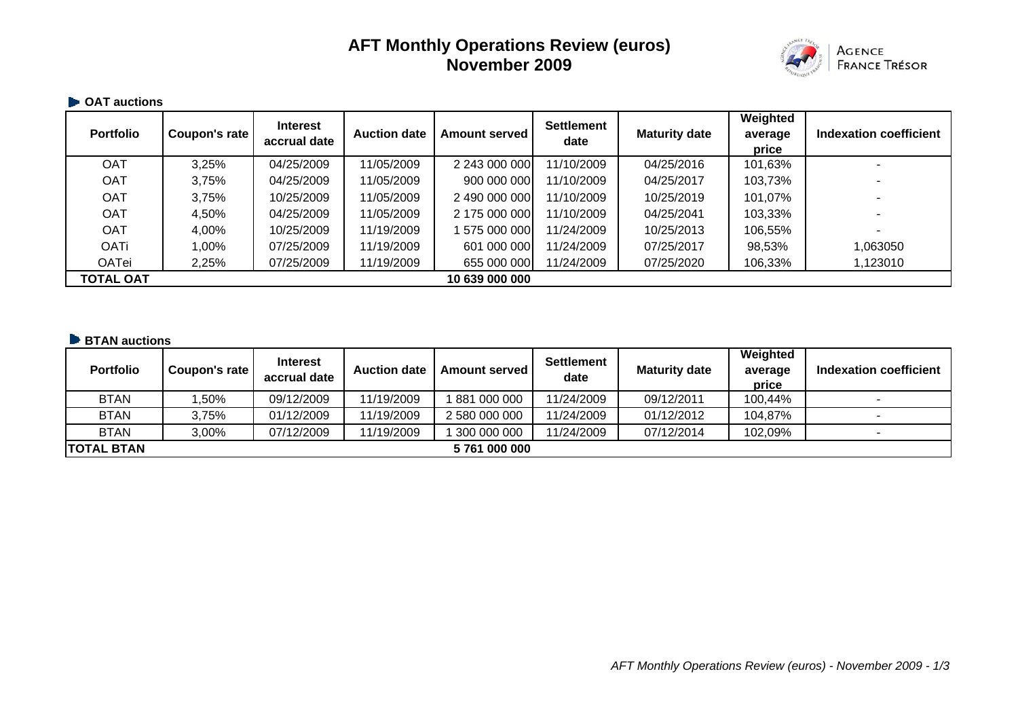# **AFT Monthly Operations Review (euros) November 2009**



#### **OAT auctions**

| <b>Portfolio</b> | Coupon's rate | Interest<br>accrual date | <b>Auction date</b> | <b>Amount served</b> | <b>Settlement</b><br>date | <b>Maturity date</b> | Weighted<br>average<br>price | <b>Indexation coefficient</b> |
|------------------|---------------|--------------------------|---------------------|----------------------|---------------------------|----------------------|------------------------------|-------------------------------|
| <b>OAT</b>       | 3,25%         | 04/25/2009               | 11/05/2009          | 2 243 000 000        | 11/10/2009                | 04/25/2016           | 101,63%                      |                               |
| <b>OAT</b>       | 3,75%         | 04/25/2009               | 11/05/2009          | 900 000 000          | 11/10/2009                | 04/25/2017           | 103,73%                      |                               |
| <b>OAT</b>       | 3,75%         | 10/25/2009               | 11/05/2009          | 2 490 000 000        | 11/10/2009                | 10/25/2019           | 101,07%                      |                               |
| <b>OAT</b>       | 4,50%         | 04/25/2009               | 11/05/2009          | 2 175 000 000        | 11/10/2009                | 04/25/2041           | 103,33%                      |                               |
| <b>OAT</b>       | 4,00%         | 10/25/2009               | 11/19/2009          | 575 000 000          | 11/24/2009                | 10/25/2013           | 106,55%                      |                               |
| <b>OATi</b>      | 1,00%         | 07/25/2009               | 11/19/2009          | 601 000 000          | 11/24/2009                | 07/25/2017           | 98,53%                       | 1,063050                      |
| <b>OATei</b>     | 2,25%         | 07/25/2009               | 11/19/2009          | 655 000 000          | 11/24/2009                | 07/25/2020           | 106,33%                      | 1,123010                      |
| <b>TOTAL OAT</b> |               |                          |                     | 10 639 000 000       |                           |                      |                              |                               |

## **BTAN auctions**

| <b>Portfolio</b>  | Coupon's rate | <b>Interest</b><br>accrual date | <b>Auction date</b> | <b>Amount served</b> | Settlement<br>date | <b>Maturity date</b> | Weighted<br>average<br>price | Indexation coefficient |
|-------------------|---------------|---------------------------------|---------------------|----------------------|--------------------|----------------------|------------------------------|------------------------|
| <b>BTAN</b>       | ,50%          | 09/12/2009                      | 11/19/2009          | 881 000 000          | 11/24/2009         | 09/12/2011           | 100,44%                      |                        |
| <b>BTAN</b>       | 3.75%         | 01/12/2009                      | 11/19/2009          | 2 580 000 000        | 11/24/2009         | 01/12/2012           | 104,87%                      |                        |
| <b>BTAN</b>       | 3.00%         | 07/12/2009                      | 11/19/2009          | 300 000 000          | 11/24/2009         | 07/12/2014           | 102,09%                      |                        |
| <b>TOTAL BTAN</b> |               |                                 |                     | 5761000000           |                    |                      |                              |                        |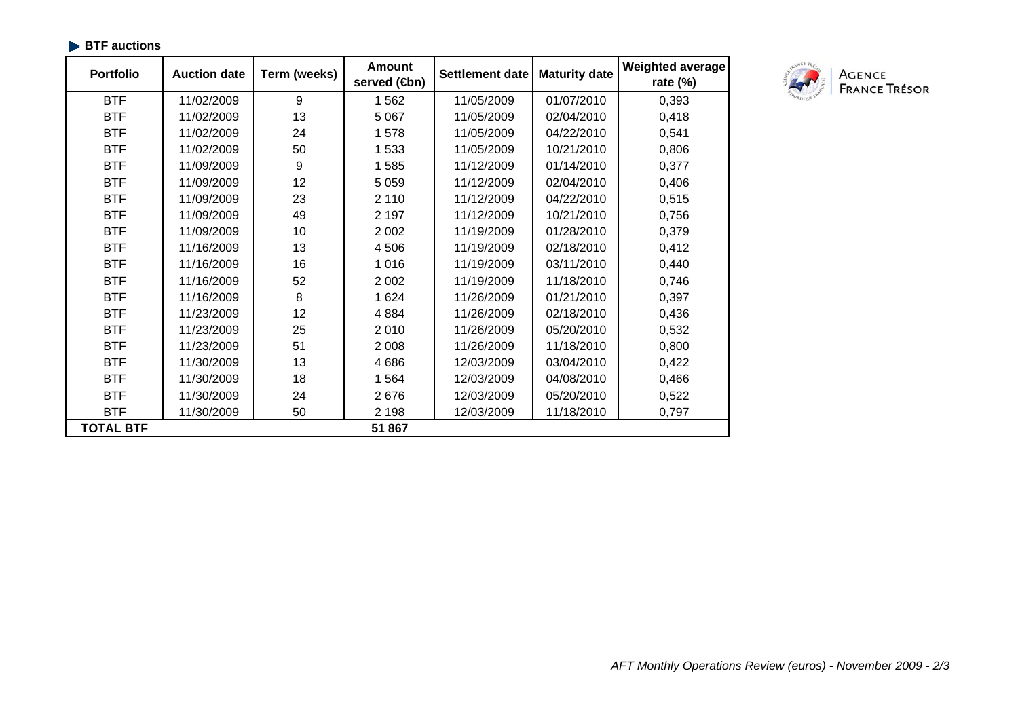| <b>Portfolio</b> | <b>Auction date</b> | Term (weeks) | <b>Amount</b><br>served (son) | <b>Settlement date</b> | <b>Maturity date</b> | <b>Weighted average</b><br>rate $(\%)$ |
|------------------|---------------------|--------------|-------------------------------|------------------------|----------------------|----------------------------------------|
| <b>BTF</b>       | 11/02/2009          | 9            | 1 5 6 2                       | 11/05/2009             | 01/07/2010           | 0,393                                  |
| <b>BTF</b>       | 11/02/2009          | 13           | 5 0 6 7                       | 11/05/2009             | 02/04/2010           | 0,418                                  |
| <b>BTF</b>       | 11/02/2009          | 24           | 1578                          | 11/05/2009             | 04/22/2010           | 0,541                                  |
| <b>BTF</b>       | 11/02/2009          | 50           | 1533                          | 11/05/2009             | 10/21/2010           | 0,806                                  |
| <b>BTF</b>       | 11/09/2009          | 9            | 1585                          | 11/12/2009             | 01/14/2010           | 0,377                                  |
| <b>BTF</b>       | 11/09/2009          | 12           | 5 0 5 9                       | 11/12/2009             | 02/04/2010           | 0,406                                  |
| <b>BTF</b>       | 11/09/2009          | 23           | 2 1 1 0                       | 11/12/2009             | 04/22/2010           | 0,515                                  |
| <b>BTF</b>       | 11/09/2009          | 49           | 2 1 9 7                       | 11/12/2009             | 10/21/2010           | 0,756                                  |
| <b>BTF</b>       | 11/09/2009          | 10           | 2 0 0 2                       | 11/19/2009             | 01/28/2010           | 0,379                                  |
| <b>BTF</b>       | 11/16/2009          | 13           | 4506                          | 11/19/2009             | 02/18/2010           | 0,412                                  |
| <b>BTF</b>       | 11/16/2009          | 16           | 1016                          | 11/19/2009             | 03/11/2010           | 0,440                                  |
| <b>BTF</b>       | 11/16/2009          | 52           | 2 0 0 2                       | 11/19/2009             | 11/18/2010           | 0,746                                  |
| <b>BTF</b>       | 11/16/2009          | 8            | 1 6 2 4                       | 11/26/2009             | 01/21/2010           | 0,397                                  |
| <b>BTF</b>       | 11/23/2009          | 12           | 4884                          | 11/26/2009             | 02/18/2010           | 0,436                                  |
| <b>BTF</b>       | 11/23/2009          | 25           | 2010                          | 11/26/2009             | 05/20/2010           | 0,532                                  |
| <b>BTF</b>       | 11/23/2009          | 51           | 2 0 0 8                       | 11/26/2009             | 11/18/2010           | 0,800                                  |
| <b>BTF</b>       | 11/30/2009          | 13           | 4686                          | 12/03/2009             | 03/04/2010           | 0,422                                  |
| <b>BTF</b>       | 11/30/2009          | 18           | 1564                          | 12/03/2009             | 04/08/2010           | 0,466                                  |
| <b>BTF</b>       | 11/30/2009          | 24           | 2676                          | 12/03/2009             | 05/20/2010           | 0,522                                  |
| <b>BTF</b>       | 11/30/2009          | 50           | 2 1 9 8                       | 12/03/2009             | 11/18/2010           | 0,797                                  |
| <b>TOTAL BTF</b> |                     |              | 51 867                        |                        |                      |                                        |